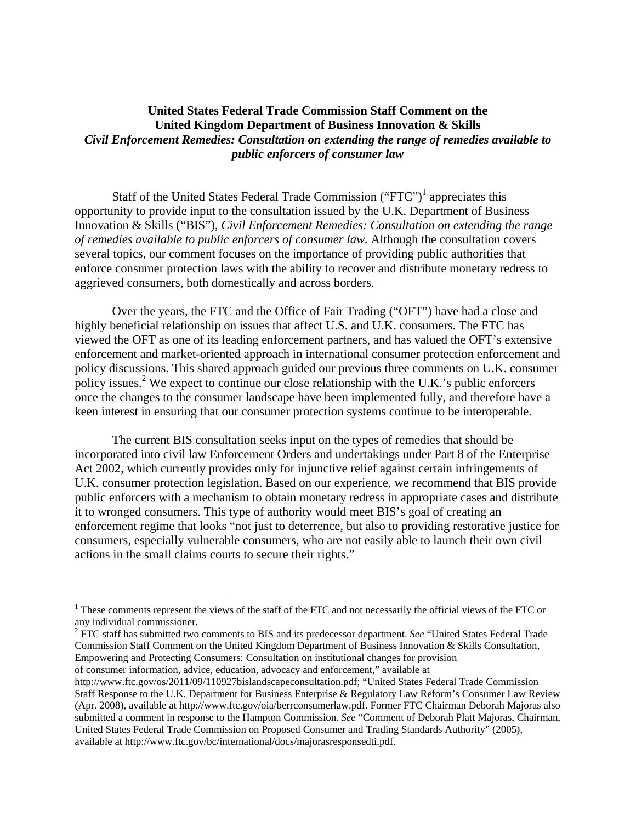## **United States Federal Trade Commission Staff Comment on the United Kingdom Department of Business Innovation & Skills**  *Civil Enforcement Remedies: Consultation on extending the range of remedies available to public enforcers of consumer law*

Staff of the United States Federal Trade Commission  $("FTC")^1$  appreciates this opportunity to provide input to the consultation issued by the U.K. Department of Business Innovation & Skills ("BIS"), *Civil Enforcement Remedies: Consultation on extending the range of remedies available to public enforcers of consumer law.* Although the consultation covers several topics, our comment focuses on the importance of providing public authorities that enforce consumer protection laws with the ability to recover and distribute monetary redress to aggrieved consumers, both domestically and across borders.

Over the years, the FTC and the Office of Fair Trading ("OFT") have had a close and highly beneficial relationship on issues that affect U.S. and U.K. consumers. The FTC has viewed the OFT as one of its leading enforcement partners, and has valued the OFT's extensive enforcement and market-oriented approach in international consumer protection enforcement and policy discussions. This shared approach guided our previous three comments on U.K. consumer policy issues.<sup>2</sup> We expect to continue our close relationship with the U.K.'s public enforcers once the changes to the consumer landscape have been implemented fully, and therefore have a keen interest in ensuring that our consumer protection systems continue to be interoperable.

The current BIS consultation seeks input on the types of remedies that should be incorporated into civil law Enforcement Orders and undertakings under Part 8 of the Enterprise Act 2002, which currently provides only for injunctive relief against certain infringements of U.K. consumer protection legislation. Based on our experience, we recommend that BIS provide public enforcers with a mechanism to obtain monetary redress in appropriate cases and distribute it to wronged consumers. This type of authority would meet BIS's goal of creating an enforcement regime that looks "not just to deterrence, but also to providing restorative justice for consumers, especially vulnerable consumers, who are not easily able to launch their own civil actions in the small claims courts to secure their rights."

2 FTC staff has submitted two comments to BIS and its predecessor department. *See* "United States Federal Trade Commission Staff Comment on the United Kingdom Department of Business Innovation & Skills Consultation, Empowering and Protecting Consumers: Consultation on institutional changes for provision

of consumer information, advice, education, advocacy and enforcement," available at

1

<sup>&</sup>lt;sup>1</sup> These comments represent the views of the staff of the FTC and not necessarily the official views of the FTC or any individual commissioner.

http://www.ftc.gov/os/2011/09/110927bislandscapeconsultation.pdf; "United States Federal Trade Commission Staff Response to the U.K. Department for Business Enterprise & Regulatory Law Reform's Consumer Law Review (Apr. 2008), available at http://www.ftc.gov/oia/berrconsumerlaw.pdf. Former FTC Chairman Deborah Majoras also submitted a comment in response to the Hampton Commission. *See* "Comment of Deborah Platt Majoras, Chairman, United States Federal Trade Commission on Proposed Consumer and Trading Standards Authority" (2005), available at http://www.ftc.gov/bc/international/docs/majorasresponsedti.pdf.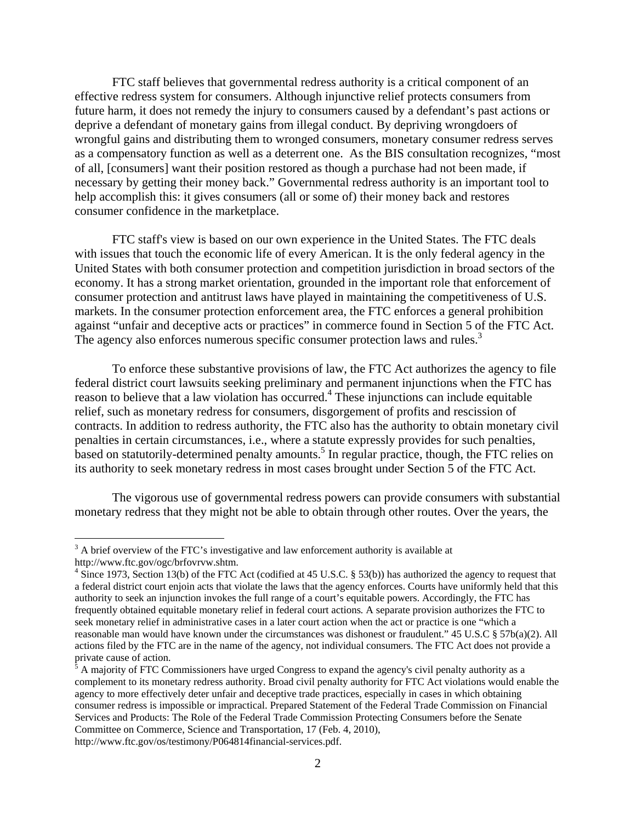FTC staff believes that governmental redress authority is a critical component of an effective redress system for consumers. Although injunctive relief protects consumers from future harm, it does not remedy the injury to consumers caused by a defendant's past actions or deprive a defendant of monetary gains from illegal conduct. By depriving wrongdoers of wrongful gains and distributing them to wronged consumers, monetary consumer redress serves as a compensatory function as well as a deterrent one. As the BIS consultation recognizes, "most of all, [consumers] want their position restored as though a purchase had not been made, if necessary by getting their money back." Governmental redress authority is an important tool to help accomplish this: it gives consumers (all or some of) their money back and restores consumer confidence in the marketplace.

FTC staff's view is based on our own experience in the United States. The FTC deals with issues that touch the economic life of every American. It is the only federal agency in the United States with both consumer protection and competition jurisdiction in broad sectors of the economy. It has a strong market orientation, grounded in the important role that enforcement of consumer protection and antitrust laws have played in maintaining the competitiveness of U.S. markets. In the consumer protection enforcement area, the FTC enforces a general prohibition against "unfair and deceptive acts or practices" in commerce found in Section 5 of the FTC Act. The agency also enforces numerous specific consumer protection laws and rules.<sup>3</sup>

To enforce these substantive provisions of law, the FTC Act authorizes the agency to file federal district court lawsuits seeking preliminary and permanent injunctions when the FTC has reason to believe that a law violation has occurred.<sup>4</sup> These injunctions can include equitable relief, such as monetary redress for consumers, disgorgement of profits and rescission of contracts. In addition to redress authority, the FTC also has the authority to obtain monetary civil penalties in certain circumstances, i.e., where a statute expressly provides for such penalties, based on statutorily-determined penalty amounts.<sup>5</sup> In regular practice, though, the FTC relies on its authority to seek monetary redress in most cases brought under Section 5 of the FTC Act.

The vigorous use of governmental redress powers can provide consumers with substantial monetary redress that they might not be able to obtain through other routes. Over the years, the

1

 $3$  A brief overview of the FTC's investigative and law enforcement authority is available at http://www.ftc.gov/ogc/brfovrvw.shtm.

<sup>&</sup>lt;sup>4</sup> Since 1973, Section 13(b) of the FTC Act (codified at 45 U.S.C. § 53(b)) has authorized the agency to request that a federal district court enjoin acts that violate the laws that the agency enforces. Courts have uniformly held that this authority to seek an injunction invokes the full range of a court's equitable powers. Accordingly, the FTC has frequently obtained equitable monetary relief in federal court actions*.* A separate provision authorizes the FTC to seek monetary relief in administrative cases in a later court action when the act or practice is one "which a reasonable man would have known under the circumstances was dishonest or fraudulent." 45 U.S.C § 57b(a)(2). All actions filed by the FTC are in the name of the agency, not individual consumers. The FTC Act does not provide a private cause of action.

 $\beta$  A majority of FTC Commissioners have urged Congress to expand the agency's civil penalty authority as a complement to its monetary redress authority. Broad civil penalty authority for FTC Act violations would enable the agency to more effectively deter unfair and deceptive trade practices, especially in cases in which obtaining consumer redress is impossible or impractical. Prepared Statement of the Federal Trade Commission on Financial Services and Products: The Role of the Federal Trade Commission Protecting Consumers before the Senate Committee on Commerce, Science and Transportation, 17 (Feb. 4, 2010), http://www.ftc.gov/os/testimony/P064814financial-services.pdf.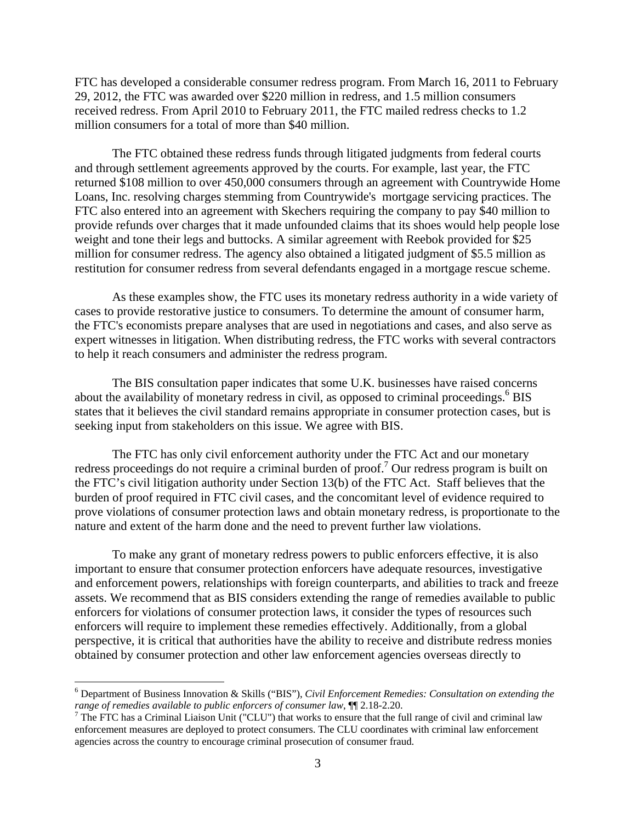FTC has developed a considerable consumer redress program. From March 16, 2011 to February 29, 2012, the FTC was awarded over \$220 million in redress, and 1.5 million consumers received redress. From April 2010 to February 2011, the FTC mailed redress checks to 1.2 million consumers for a total of more than \$40 million.

The FTC obtained these redress funds through litigated judgments from federal courts and through settlement agreements approved by the courts. For example, last year, the FTC returned \$108 million to over 450,000 consumers through an agreement with Countrywide Home Loans, Inc. resolving charges stemming from Countrywide's mortgage servicing practices. The FTC also entered into an agreement with Skechers requiring the company to pay \$40 million to provide refunds over charges that it made unfounded claims that its shoes would help people lose weight and tone their legs and buttocks. A similar agreement with Reebok provided for \$25 million for consumer redress. The agency also obtained a litigated judgment of \$5.5 million as restitution for consumer redress from several defendants engaged in a mortgage rescue scheme.

As these examples show, the FTC uses its monetary redress authority in a wide variety of cases to provide restorative justice to consumers. To determine the amount of consumer harm, the FTC's economists prepare analyses that are used in negotiations and cases, and also serve as expert witnesses in litigation. When distributing redress, the FTC works with several contractors to help it reach consumers and administer the redress program.

The BIS consultation paper indicates that some U.K. businesses have raised concerns about the availability of monetary redress in civil, as opposed to criminal proceedings.<sup>6</sup> BIS states that it believes the civil standard remains appropriate in consumer protection cases, but is seeking input from stakeholders on this issue. We agree with BIS.

The FTC has only civil enforcement authority under the FTC Act and our monetary redress proceedings do not require a criminal burden of proof.<sup>7</sup> Our redress program is built on the FTC's civil litigation authority under Section 13(b) of the FTC Act. Staff believes that the burden of proof required in FTC civil cases, and the concomitant level of evidence required to prove violations of consumer protection laws and obtain monetary redress, is proportionate to the nature and extent of the harm done and the need to prevent further law violations.

To make any grant of monetary redress powers to public enforcers effective, it is also important to ensure that consumer protection enforcers have adequate resources, investigative and enforcement powers, relationships with foreign counterparts, and abilities to track and freeze assets. We recommend that as BIS considers extending the range of remedies available to public enforcers for violations of consumer protection laws, it consider the types of resources such enforcers will require to implement these remedies effectively. Additionally, from a global perspective, it is critical that authorities have the ability to receive and distribute redress monies obtained by consumer protection and other law enforcement agencies overseas directly to

 $\overline{a}$ 

<sup>6</sup> Department of Business Innovation & Skills ("BIS"), *Civil Enforcement Remedies: Consultation on extending the*  range of remedies available to public enforcers of consumer law, ¶[ 2.18-2.20.<br><sup>7</sup> The FTC has a Criminal Liaison Unit ("CLU") that works to ensure that the full range of civil and criminal law

enforcement measures are deployed to protect consumers. The CLU coordinates with criminal law enforcement agencies across the country to encourage criminal prosecution of consumer fraud.